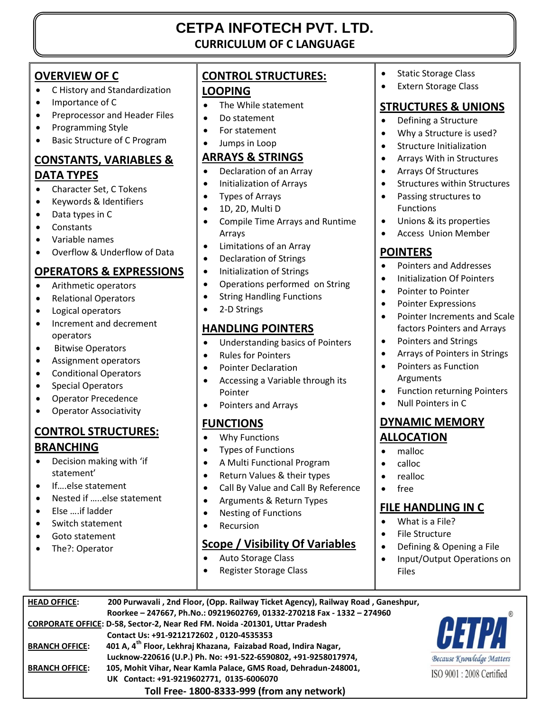## **CETPA INFOTECH PVT. LTD. CURRICULUM OF C LANGUAGE**

### **OVERVIEW OF C**

- C History and Standardization
- Importance of C
- **•** Preprocessor and Header Files
- Programming Style
- Basic Structure of C Program

# **CONSTANTS, VARIABLES &**

#### **DATA TYPES**

- Character Set, C Tokens
- Keywords & Identifiers
- Data types in C
- Constants
- Variable names
- Overflow & Underflow of Data

#### **OPERATORS & EXPRESSIONS**

- Arithmetic operators
- Relational Operators
- Logical operators
- Increment and decrement operators
- **•** Bitwise Operators
- Assignment operators
- Conditional Operators
- Special Operators
- Operator Precedence
- Operator Associativity

#### **CONTROL STRUCTURES: BRANCHING**

- Decision making with 'if statement'
- If….else statement
- Nested if …..else statement
- Else ….if ladder
- Switch statement
- Goto statement
- The?: Operator

### **CONTROL STRUCTURES: LOOPING**

- The While statement
- Do statement
- For statement
- Jumps in Loop

#### **ARRAYS & STRINGS**

- Declaration of an Array
- Initialization of Arrays
- Types of Arrays
- 1D, 2D, Multi D
- Compile Time Arrays and Runtime Arrays
- Limitations of an Array
- Declaration of Strings
- Initialization of Strings
- Operations performed on String
- String Handling Functions
- 2-D Strings

#### **HANDLING POINTERS**

- Understanding basics of Pointers
- Rules for Pointers
- Pointer Declaration
- Accessing a Variable through its Pointer
- Pointers and Arrays

#### **FUNCTIONS**

- Why Functions
- Types of Functions
- A Multi Functional Program
- Return Values & their types
- Call By Value and Call By Reference
- Arguments & Return Types
- Nesting of Functions
- Recursion

**HEAD OFFICE: 200 Purwavali , 2nd Floor, (Opp. Railway Ticket Agency), Railway Road , Ganeshpur,** 

 **Lucknow-220616 (U.P.) Ph. No: +91-522-6590802, +91-9258017974,** 

 **Toll Free- 1800-8333-999 (from any network)**

**CORPORATE OFFICE: D-58, Sector-2, Near Red FM. Noida -201301, Uttar Pradesh Contact Us: +91-9212172602 , 0120-4535353 BRANCH OFFICE: 401 A, 4th Floor, Lekhraj Khazana, Faizabad Road, Indira Nagar,** 

**BRANCH OFFICE: 105, Mohit Vihar, Near Kamla Palace, GMS Road, Dehradun-248001, UK Contact: +91-9219602771, 0135-6006070**

#### **Scope / Visibility Of Variables**

Auto Storage Class

 **Roorkee – 247667, Ph.No.: 09219602769, 01332-270218 Fax - 1332 – 274960**

Register Storage Class

- Static Storage Class
- Extern Storage Class

#### **STRUCTURES & UNIONS**

- Defining a Structure
- Why a Structure is used?
- **•** Structure Initialization
- Arrays With in Structures
- Arrays Of Structures
- Structures within Structures
- Passing structures to Functions
- Unions & its properties
- Access Union Member

#### **POINTERS**

- Pointers and Addresses
- Initialization Of Pointers
- Pointer to Pointer
- Pointer Expressions
- Pointer Increments and Scale factors Pointers and Arrays
- Pointers and Strings
- Arrays of Pointers in Strings
- Pointers as Function Arguments
- Function returning Pointers
- Null Pointers in C

#### **DYNAMIC MEMORY ALLOCATION**

- malloc
- calloc
- realloc
- free

#### **FILE HANDLING IN C**

 Defining & Opening a File • Input/Output Operations on

**HETZ** 

Because Knowledge Matters ISO 9001 : 2008 Certified

- What is a File?
- File Structure

Files